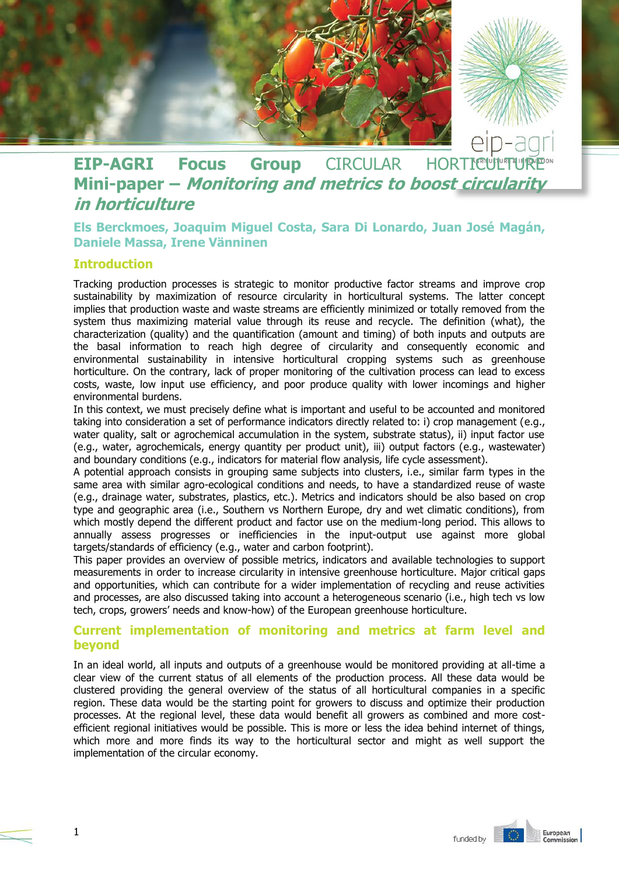

# **EIP-AGRI Focus Group** CIRCULAR HORTICULT **Mini-paper – Monitoring and metrics to boost circularity in horticulture**

# **Els Berckmoes, Joaquim Miguel Costa, Sara Di Lonardo, Juan José Magán, Daniele Massa, Irene Vänninen**

#### **Introduction**

Tracking production processes is strategic to monitor productive factor streams and improve crop sustainability by maximization of resource circularity in horticultural systems. The latter concept implies that production waste and waste streams are efficiently minimized or totally removed from the system thus maximizing material value through its reuse and recycle. The definition (what), the characterization (quality) and the quantification (amount and timing) of both inputs and outputs are the basal information to reach high degree of circularity and consequently economic and environmental sustainability in intensive horticultural cropping systems such as greenhouse horticulture. On the contrary, lack of proper monitoring of the cultivation process can lead to excess costs, waste, low input use efficiency, and poor produce quality with lower incomings and higher environmental burdens.

In this context, we must precisely define what is important and useful to be accounted and monitored taking into consideration a set of performance indicators directly related to: i) crop management (e.g., water quality, salt or agrochemical accumulation in the system, substrate status), ii) input factor use (e.g., water, agrochemicals, energy quantity per product unit), iii) output factors (e.g., wastewater) and boundary conditions (e.g., indicators for material flow analysis, life cycle assessment).

A potential approach consists in grouping same subjects into clusters, i.e., similar farm types in the same area with similar agro-ecological conditions and needs, to have a standardized reuse of waste (e.g., drainage water, substrates, plastics, etc.). Metrics and indicators should be also based on crop type and geographic area (i.e., Southern vs Northern Europe, dry and wet climatic conditions), from which mostly depend the different product and factor use on the medium-long period. This allows to annually assess progresses or inefficiencies in the input-output use against more global targets/standards of efficiency (e.g., water and carbon footprint).

This paper provides an overview of possible metrics, indicators and available technologies to support measurements in order to increase circularity in intensive greenhouse horticulture. Major critical gaps and opportunities, which can contribute for a wider implementation of recycling and reuse activities and processes, are also discussed taking into account a heterogeneous scenario (i.e., high tech vs low tech, crops, growers' needs and know-how) of the European greenhouse horticulture.

## **Current implementation of monitoring and metrics at farm level and beyond**

In an ideal world, all inputs and outputs of a greenhouse would be monitored providing at all-time a clear view of the current status of all elements of the production process. All these data would be clustered providing the general overview of the status of all horticultural companies in a specific region. These data would be the starting point for growers to discuss and optimize their production processes. At the regional level, these data would benefit all growers as combined and more costefficient regional initiatives would be possible. This is more or less the idea behind internet of things, which more and more finds its way to the horticultural sector and might as well support the implementation of the circular economy.



1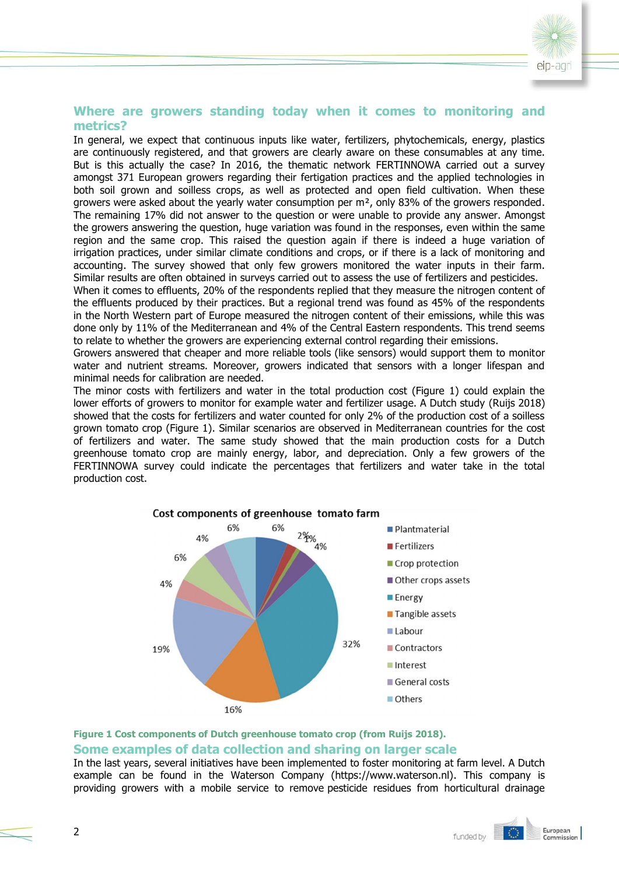

#### **Where are growers standing today when it comes to monitoring and metrics?**

In general, we expect that continuous inputs like water, fertilizers, phytochemicals, energy, plastics are continuously registered, and that growers are clearly aware on these consumables at any time. But is this actually the case? In 2016, the thematic network FERTINNOWA carried out a survey amongst 371 European growers regarding their fertigation practices and the applied technologies in both soil grown and soilless crops, as well as protected and open field cultivation. When these growers were asked about the yearly water consumption per m², only 83% of the growers responded. The remaining 17% did not answer to the question or were unable to provide any answer. Amongst the growers answering the question, huge variation was found in the responses, even within the same region and the same crop. This raised the question again if there is indeed a huge variation of irrigation practices, under similar climate conditions and crops, or if there is a lack of monitoring and accounting. The survey showed that only few growers monitored the water inputs in their farm. Similar results are often obtained in surveys carried out to assess the use of fertilizers and pesticides.

When it comes to effluents, 20% of the respondents replied that they measure the nitrogen content of the effluents produced by their practices. But a regional trend was found as 45% of the respondents in the North Western part of Europe measured the nitrogen content of their emissions, while this was done only by 11% of the Mediterranean and 4% of the Central Eastern respondents. This trend seems to relate to whether the growers are experiencing external control regarding their emissions.

Growers answered that cheaper and more reliable tools (like sensors) would support them to monitor water and nutrient streams. Moreover, growers indicated that sensors with a longer lifespan and minimal needs for calibration are needed.

The minor costs with fertilizers and water in the total production cost (Figure 1) could explain the lower efforts of growers to monitor for example water and fertilizer usage. A Dutch study (Ruijs 2018) showed that the costs for fertilizers and water counted for only 2% of the production cost of a soilless grown tomato crop (Figure 1). Similar scenarios are observed in Mediterranean countries for the cost of fertilizers and water. The same study showed that the main production costs for a Dutch greenhouse tomato crop are mainly energy, labor, and depreciation. Only a few growers of the FERTINNOWA survey could indicate the percentages that fertilizers and water take in the total production cost.



## **Figure 1 Cost components of Dutch greenhouse tomato crop (from Ruijs 2018). Some examples of data collection and sharing on larger scale**

In the last years, several initiatives have been implemented to foster monitoring at farm level. A Dutch example can be found in the Waterson Company (https://www.waterson.nl). This company is providing growers with a mobile service to remove pesticide residues from horticultural drainage

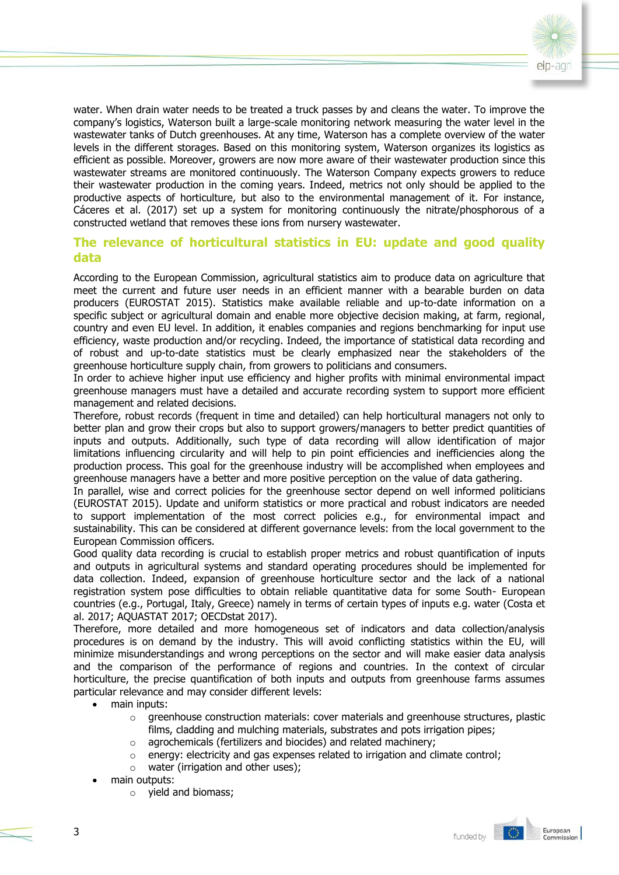

water. When drain water needs to be treated a truck passes by and cleans the water. To improve the company's logistics, Waterson built a large-scale monitoring network measuring the water level in the wastewater tanks of Dutch greenhouses. At any time, Waterson has a complete overview of the water levels in the different storages. Based on this monitoring system, Waterson organizes its logistics as efficient as possible. Moreover, growers are now more aware of their wastewater production since this wastewater streams are monitored continuously. The Waterson Company expects growers to reduce their wastewater production in the coming years. Indeed, metrics not only should be applied to the productive aspects of horticulture, but also to the environmental management of it. For instance, Cáceres et al. (2017) set up a system for monitoring continuously the nitrate/phosphorous of a constructed wetland that removes these ions from nursery wastewater.

# **The relevance of horticultural statistics in EU: update and good quality data**

According to the European Commission, agricultural statistics aim to produce data on agriculture that meet the current and future user needs in an efficient manner with a bearable burden on data producers (EUROSTAT 2015). Statistics make available reliable and up-to-date information on a specific subject or agricultural domain and enable more objective decision making, at farm, regional, country and even EU level. In addition, it enables companies and regions benchmarking for input use efficiency, waste production and/or recycling. Indeed, the importance of statistical data recording and of robust and up-to-date statistics must be clearly emphasized near the stakeholders of the greenhouse horticulture supply chain, from growers to politicians and consumers.

In order to achieve higher input use efficiency and higher profits with minimal environmental impact greenhouse managers must have a detailed and accurate recording system to support more efficient management and related decisions.

Therefore, robust records (frequent in time and detailed) can help horticultural managers not only to better plan and grow their crops but also to support growers/managers to better predict quantities of inputs and outputs. Additionally, such type of data recording will allow identification of major limitations influencing circularity and will help to pin point efficiencies and inefficiencies along the production process. This goal for the greenhouse industry will be accomplished when employees and greenhouse managers have a better and more positive perception on the value of data gathering.

In parallel, wise and correct policies for the greenhouse sector depend on well informed politicians (EUROSTAT 2015). Update and uniform statistics or more practical and robust indicators are needed to support implementation of the most correct policies e.g., for environmental impact and sustainability. This can be considered at different governance levels: from the local government to the European Commission officers.

Good quality data recording is crucial to establish proper metrics and robust quantification of inputs and outputs in agricultural systems and standard operating procedures should be implemented for data collection. Indeed, expansion of greenhouse horticulture sector and the lack of a national registration system pose difficulties to obtain reliable quantitative data for some South- European countries (e.g., Portugal, Italy, Greece) namely in terms of certain types of inputs e.g. water (Costa et al. 2017; AQUASTAT 2017; OECDstat 2017).

Therefore, more detailed and more homogeneous set of indicators and data collection/analysis procedures is on demand by the industry. This will avoid conflicting statistics within the EU, will minimize misunderstandings and wrong perceptions on the sector and will make easier data analysis and the comparison of the performance of regions and countries. In the context of circular horticulture, the precise quantification of both inputs and outputs from greenhouse farms assumes particular relevance and may consider different levels:

- main inputs:
	- $\circ$  greenhouse construction materials: cover materials and greenhouse structures, plastic films, cladding and mulching materials, substrates and pots irrigation pipes;
	- o agrochemicals (fertilizers and biocides) and related machinery;
	- $\circ$  energy: electricity and gas expenses related to irrigation and climate control;
	- $\circ$  water (irrigation and other uses);
- main outputs:
	- o yield and biomass;

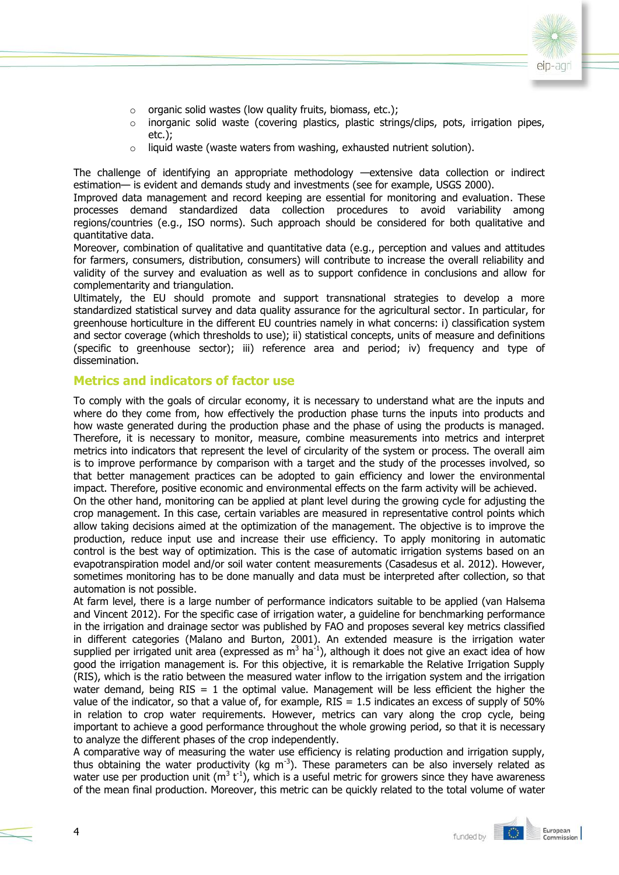

- $\circ$  organic solid wastes (low quality fruits, biomass, etc.);
- $\circ$  inorganic solid waste (covering plastics, plastic strings/clips, pots, irrigation pipes, etc.);
- $\circ$  liquid waste (waste waters from washing, exhausted nutrient solution).

The challenge of identifying an appropriate methodology —extensive data collection or indirect estimation— is evident and demands study and investments (see for example, USGS 2000).

Improved data management and record keeping are essential for monitoring and evaluation. These processes demand standardized data collection procedures to avoid variability among regions/countries (e.g., ISO norms). Such approach should be considered for both qualitative and quantitative data.

Moreover, combination of qualitative and quantitative data (e.g., perception and values and attitudes for farmers, consumers, distribution, consumers) will contribute to increase the overall reliability and validity of the survey and evaluation as well as to support confidence in conclusions and allow for complementarity and triangulation.

Ultimately, the EU should promote and support transnational strategies to develop a more standardized statistical survey and data quality assurance for the agricultural sector. In particular, for greenhouse horticulture in the different EU countries namely in what concerns: i) classification system and sector coverage (which thresholds to use); ii) statistical concepts, units of measure and definitions (specific to greenhouse sector); iii) reference area and period; iv) frequency and type of dissemination.

# **Metrics and indicators of factor use**

To comply with the goals of circular economy, it is necessary to understand what are the inputs and where do they come from, how effectively the production phase turns the inputs into products and how waste generated during the production phase and the phase of using the products is managed. Therefore, it is necessary to monitor, measure, combine measurements into metrics and interpret metrics into indicators that represent the level of circularity of the system or process. The overall aim is to improve performance by comparison with a target and the study of the processes involved, so that better management practices can be adopted to gain efficiency and lower the environmental impact. Therefore, positive economic and environmental effects on the farm activity will be achieved.

On the other hand, monitoring can be applied at plant level during the growing cycle for adjusting the crop management. In this case, certain variables are measured in representative control points which allow taking decisions aimed at the optimization of the management. The objective is to improve the production, reduce input use and increase their use efficiency. To apply monitoring in automatic control is the best way of optimization. This is the case of automatic irrigation systems based on an evapotranspiration model and/or soil water content measurements (Casadesus et al. 2012). However, sometimes monitoring has to be done manually and data must be interpreted after collection, so that automation is not possible.

At farm level, there is a large number of performance indicators suitable to be applied (van Halsema and Vincent 2012). For the specific case of irrigation water, a guideline for benchmarking performance in the irrigation and drainage sector was published by FAO and proposes several key metrics classified in different categories (Malano and Burton, 2001). An extended measure is the irrigation water supplied per irrigated unit area (expressed as  $m^3$  ha<sup>-1</sup>), although it does not give an exact idea of how good the irrigation management is. For this objective, it is remarkable the Relative Irrigation Supply (RIS), which is the ratio between the measured water inflow to the irrigation system and the irrigation water demand, being  $RIS = 1$  the optimal value. Management will be less efficient the higher the value of the indicator, so that a value of, for example,  $RIS = 1.5$  indicates an excess of supply of 50% in relation to crop water requirements. However, metrics can vary along the crop cycle, being important to achieve a good performance throughout the whole growing period, so that it is necessary to analyze the different phases of the crop independently.

A comparative way of measuring the water use efficiency is relating production and irrigation supply, thus obtaining the water productivity (kg  $m^{-3}$ ). These parameters can be also inversely related as water use per production unit (m<sup>3</sup> t<sup>-1</sup>), which is a useful metric for growers since they have awareness of the mean final production. Moreover, this metric can be quickly related to the total volume of water

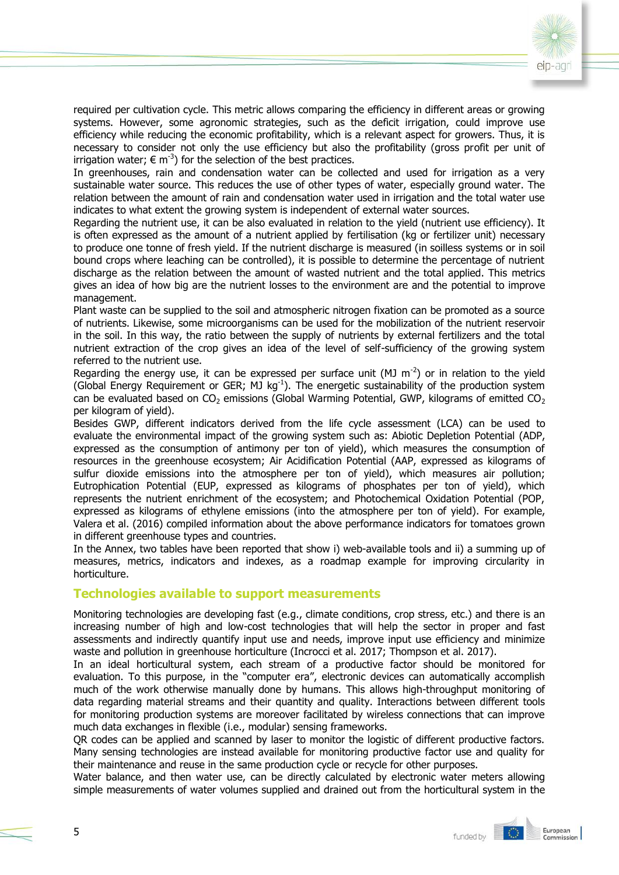

required per cultivation cycle. This metric allows comparing the efficiency in different areas or growing systems. However, some agronomic strategies, such as the deficit irrigation, could improve use efficiency while reducing the economic profitability, which is a relevant aspect for growers. Thus, it is necessary to consider not only the use efficiency but also the profitability (gross profit per unit of irrigation water;  $\epsilon$  m<sup>-3</sup>) for the selection of the best practices.

In greenhouses, rain and condensation water can be collected and used for irrigation as a very sustainable water source. This reduces the use of other types of water, especially ground water. The relation between the amount of rain and condensation water used in irrigation and the total water use indicates to what extent the growing system is independent of external water sources.

Regarding the nutrient use, it can be also evaluated in relation to the yield (nutrient use efficiency). It is often expressed as the amount of a nutrient applied by fertilisation (kg or fertilizer unit) necessary to produce one tonne of fresh yield. If the nutrient discharge is measured (in soilless systems or in soil bound crops where leaching can be controlled), it is possible to determine the percentage of nutrient discharge as the relation between the amount of wasted nutrient and the total applied. This metrics gives an idea of how big are the nutrient losses to the environment are and the potential to improve management.

Plant waste can be supplied to the soil and atmospheric nitrogen fixation can be promoted as a source of nutrients. Likewise, some microorganisms can be used for the mobilization of the nutrient reservoir in the soil. In this way, the ratio between the supply of nutrients by external fertilizers and the total nutrient extraction of the crop gives an idea of the level of self-sufficiency of the growing system referred to the nutrient use.

Regarding the energy use, it can be expressed per surface unit (MJ  $m^{-2}$ ) or in relation to the yield (Global Energy Requirement or GER; MJ  $kg^{-1}$ ). The energetic sustainability of the production system can be evaluated based on  $CO_2$  emissions (Global Warming Potential, GWP, kilograms of emitted  $CO_2$ per kilogram of yield).

Besides GWP, different indicators derived from the life cycle assessment (LCA) can be used to evaluate the environmental impact of the growing system such as: Abiotic Depletion Potential (ADP, expressed as the consumption of antimony per ton of yield), which measures the consumption of resources in the greenhouse ecosystem; Air Acidification Potential (AAP, expressed as kilograms of sulfur dioxide emissions into the atmosphere per ton of yield), which measures air pollution; Eutrophication Potential (EUP, expressed as kilograms of phosphates per ton of yield), which represents the nutrient enrichment of the ecosystem; and Photochemical Oxidation Potential (POP, expressed as kilograms of ethylene emissions (into the atmosphere per ton of yield). For example, Valera et al. (2016) compiled information about the above performance indicators for tomatoes grown in different greenhouse types and countries.

In the Annex, two tables have been reported that show i) web-available tools and ii) a summing up of measures, metrics, indicators and indexes, as a roadmap example for improving circularity in horticulture.

#### **Technologies available to support measurements**

Monitoring technologies are developing fast (e.g., climate conditions, crop stress, etc.) and there is an increasing number of high and low-cost technologies that will help the sector in proper and fast assessments and indirectly quantify input use and needs, improve input use efficiency and minimize waste and pollution in greenhouse horticulture (Incrocci et al. 2017; Thompson et al. 2017).

In an ideal horticultural system, each stream of a productive factor should be monitored for evaluation. To this purpose, in the "computer era", electronic devices can automatically accomplish much of the work otherwise manually done by humans. This allows high-throughput monitoring of data regarding material streams and their quantity and quality. Interactions between different tools for monitoring production systems are moreover facilitated by wireless connections that can improve much data exchanges in flexible (i.e., modular) sensing frameworks.

QR codes can be applied and scanned by laser to monitor the logistic of different productive factors. Many sensing technologies are instead available for monitoring productive factor use and quality for their maintenance and reuse in the same production cycle or recycle for other purposes.

Water balance, and then water use, can be directly calculated by electronic water meters allowing simple measurements of water volumes supplied and drained out from the horticultural system in the

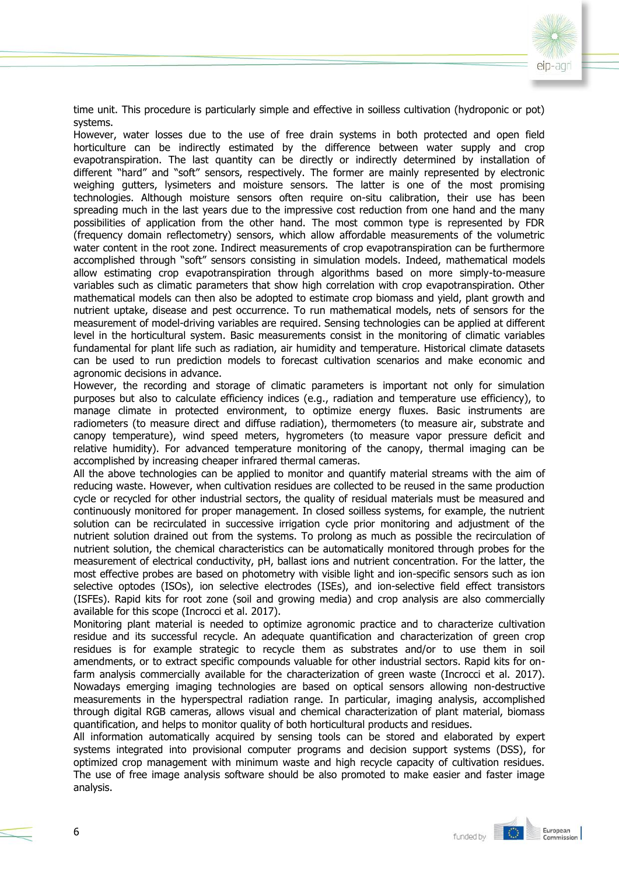

time unit. This procedure is particularly simple and effective in soilless cultivation (hydroponic or pot) systems.

However, water losses due to the use of free drain systems in both protected and open field horticulture can be indirectly estimated by the difference between water supply and crop evapotranspiration. The last quantity can be directly or indirectly determined by installation of different "hard" and "soft" sensors, respectively. The former are mainly represented by electronic weighing gutters, lysimeters and moisture sensors. The latter is one of the most promising technologies. Although moisture sensors often require on-situ calibration, their use has been spreading much in the last years due to the impressive cost reduction from one hand and the many possibilities of application from the other hand. The most common type is represented by FDR (frequency domain reflectometry) sensors, which allow affordable measurements of the volumetric water content in the root zone. Indirect measurements of crop evapotranspiration can be furthermore accomplished through "soft" sensors consisting in simulation models. Indeed, mathematical models allow estimating crop evapotranspiration through algorithms based on more simply-to-measure variables such as climatic parameters that show high correlation with crop evapotranspiration. Other mathematical models can then also be adopted to estimate crop biomass and yield, plant growth and nutrient uptake, disease and pest occurrence. To run mathematical models, nets of sensors for the measurement of model-driving variables are required. Sensing technologies can be applied at different level in the horticultural system. Basic measurements consist in the monitoring of climatic variables fundamental for plant life such as radiation, air humidity and temperature. Historical climate datasets can be used to run prediction models to forecast cultivation scenarios and make economic and agronomic decisions in advance.

However, the recording and storage of climatic parameters is important not only for simulation purposes but also to calculate efficiency indices (e.g., radiation and temperature use efficiency), to manage climate in protected environment, to optimize energy fluxes. Basic instruments are radiometers (to measure direct and diffuse radiation), thermometers (to measure air, substrate and canopy temperature), wind speed meters, hygrometers (to measure vapor pressure deficit and relative humidity). For advanced temperature monitoring of the canopy, thermal imaging can be accomplished by increasing cheaper infrared thermal cameras.

All the above technologies can be applied to monitor and quantify material streams with the aim of reducing waste. However, when cultivation residues are collected to be reused in the same production cycle or recycled for other industrial sectors, the quality of residual materials must be measured and continuously monitored for proper management. In closed soilless systems, for example, the nutrient solution can be recirculated in successive irrigation cycle prior monitoring and adjustment of the nutrient solution drained out from the systems. To prolong as much as possible the recirculation of nutrient solution, the chemical characteristics can be automatically monitored through probes for the measurement of electrical conductivity, pH, ballast ions and nutrient concentration. For the latter, the most effective probes are based on photometry with visible light and ion-specific sensors such as ion selective optodes (ISOs), ion selective electrodes (ISEs), and ion-selective field effect transistors (ISFEs). Rapid kits for root zone (soil and growing media) and crop analysis are also commercially available for this scope (Incrocci et al. 2017).

Monitoring plant material is needed to optimize agronomic practice and to characterize cultivation residue and its successful recycle. An adequate quantification and characterization of green crop residues is for example strategic to recycle them as substrates and/or to use them in soil amendments, or to extract specific compounds valuable for other industrial sectors. Rapid kits for onfarm analysis commercially available for the characterization of green waste (Incrocci et al. 2017). Nowadays emerging imaging technologies are based on optical sensors allowing non-destructive measurements in the hyperspectral radiation range. In particular, imaging analysis, accomplished through digital RGB cameras, allows visual and chemical characterization of plant material, biomass quantification, and helps to monitor quality of both horticultural products and residues.

All information automatically acquired by sensing tools can be stored and elaborated by expert systems integrated into provisional computer programs and decision support systems (DSS), for optimized crop management with minimum waste and high recycle capacity of cultivation residues. The use of free image analysis software should be also promoted to make easier and faster image analysis.

I O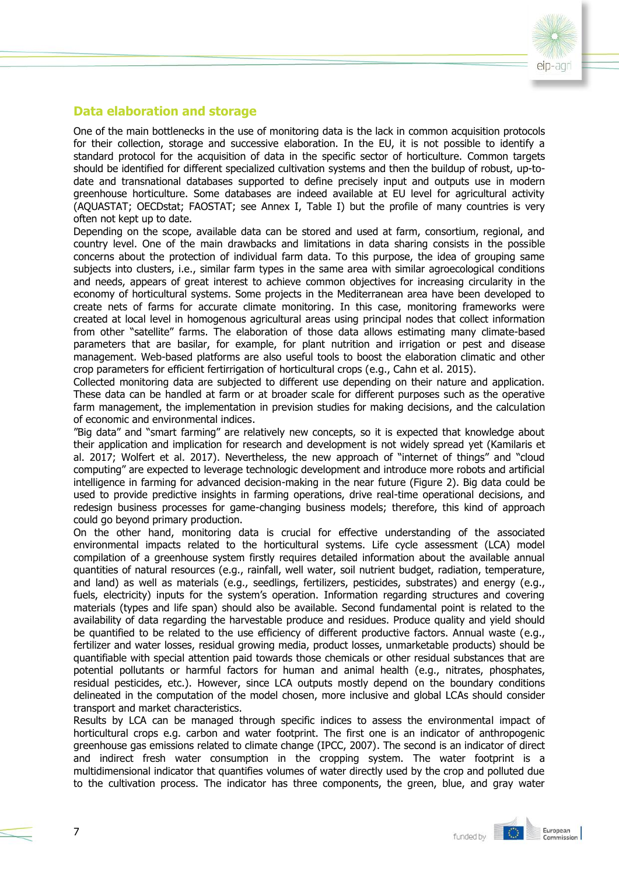

# **Data elaboration and storage**

7

One of the main bottlenecks in the use of monitoring data is the lack in common acquisition protocols for their collection, storage and successive elaboration. In the EU, it is not possible to identify a standard protocol for the acquisition of data in the specific sector of horticulture. Common targets should be identified for different specialized cultivation systems and then the buildup of robust, up-todate and transnational databases supported to define precisely input and outputs use in modern greenhouse horticulture. Some databases are indeed available at EU level for agricultural activity (AQUASTAT; OECDstat; FAOSTAT; see Annex I, Table I) but the profile of many countries is very often not kept up to date.

Depending on the scope, available data can be stored and used at farm, consortium, regional, and country level. One of the main drawbacks and limitations in data sharing consists in the possible concerns about the protection of individual farm data. To this purpose, the idea of grouping same subjects into clusters, i.e., similar farm types in the same area with similar agroecological conditions and needs, appears of great interest to achieve common objectives for increasing circularity in the economy of horticultural systems. Some projects in the Mediterranean area have been developed to create nets of farms for accurate climate monitoring. In this case, monitoring frameworks were created at local level in homogenous agricultural areas using principal nodes that collect information from other "satellite" farms. The elaboration of those data allows estimating many climate-based parameters that are basilar, for example, for plant nutrition and irrigation or pest and disease management. Web-based platforms are also useful tools to boost the elaboration climatic and other crop parameters for efficient fertirrigation of horticultural crops (e.g., Cahn et al. 2015).

Collected monitoring data are subjected to different use depending on their nature and application. These data can be handled at farm or at broader scale for different purposes such as the operative farm management, the implementation in prevision studies for making decisions, and the calculation of economic and environmental indices.

"Big data" and "smart farming" are relatively new concepts, so it is expected that knowledge about their application and implication for research and development is not widely spread yet (Kamilaris et al. 2017; Wolfert et al. 2017). Nevertheless, the new approach of "internet of things" and "cloud computing" are expected to leverage technologic development and introduce more robots and artificial intelligence in farming for advanced decision-making in the near future (Figure 2). Big data could be used to provide predictive insights in farming operations, drive real-time operational decisions, and redesign business processes for game-changing business models; therefore, this kind of approach could go beyond primary production.

On the other hand, monitoring data is crucial for effective understanding of the associated environmental impacts related to the horticultural systems. Life cycle assessment (LCA) model compilation of a greenhouse system firstly requires detailed information about the available annual quantities of natural resources (e.g., rainfall, well water, soil nutrient budget, radiation, temperature, and land) as well as materials (e.g., seedlings, fertilizers, pesticides, substrates) and energy (e.g., fuels, electricity) inputs for the system's operation. Information regarding structures and covering materials (types and life span) should also be available. Second fundamental point is related to the availability of data regarding the harvestable produce and residues. Produce quality and yield should be quantified to be related to the use efficiency of different productive factors. Annual waste (e.g., fertilizer and water losses, residual growing media, product losses, unmarketable products) should be quantifiable with special attention paid towards those chemicals or other residual substances that are potential pollutants or harmful factors for human and animal health (e.g., nitrates, phosphates, residual pesticides, etc.). However, since LCA outputs mostly depend on the boundary conditions delineated in the computation of the model chosen, more inclusive and global LCAs should consider transport and market characteristics.

Results by LCA can be managed through specific indices to assess the environmental impact of horticultural crops e.g. carbon and water footprint. The first one is an indicator of anthropogenic greenhouse gas emissions related to climate change (IPCC, 2007). The second is an indicator of direct and indirect fresh water consumption in the cropping system. The water footprint is a multidimensional indicator that quantifies volumes of water directly used by the crop and polluted due to the cultivation process. The indicator has three components, the green, blue, and gray water

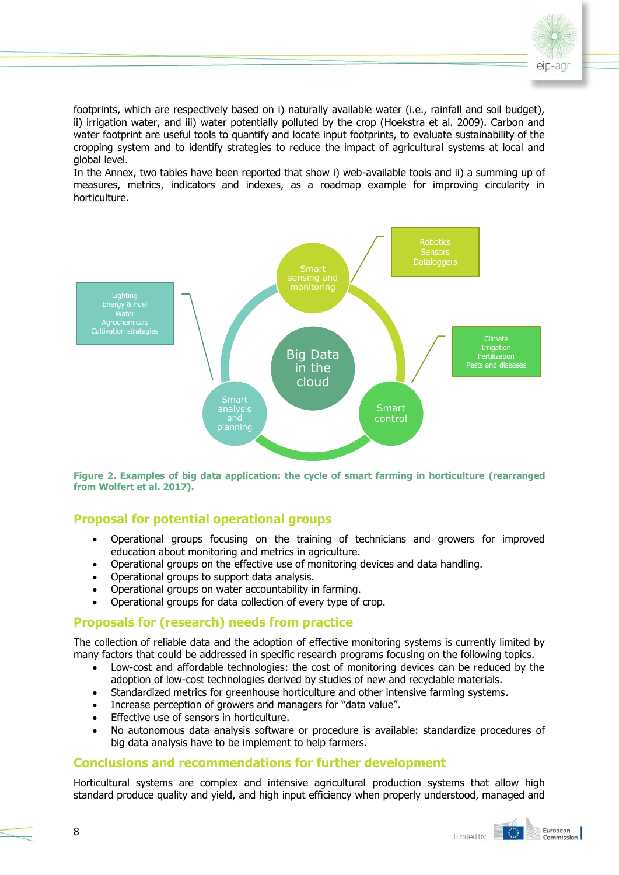

footprints, which are respectively based on i) naturally available water (i.e., rainfall and soil budget), ii) irrigation water, and iii) water potentially polluted by the crop (Hoekstra et al. 2009). Carbon and water footprint are useful tools to quantify and locate input footprints, to evaluate sustainability of the cropping system and to identify strategies to reduce the impact of agricultural systems at local and global level.

In the Annex, two tables have been reported that show i) web-available tools and ii) a summing up of measures, metrics, indicators and indexes, as a roadmap example for improving circularity in horticulture.



**Figure 2. Examples of big data application: the cycle of smart farming in horticulture (rearranged from Wolfert et al. 2017).**

# **Proposal for potential operational groups**

- Operational groups focusing on the training of technicians and growers for improved education about monitoring and metrics in agriculture.
- Operational groups on the effective use of monitoring devices and data handling.
- Operational groups to support data analysis.
- Operational groups on water accountability in farming.
- Operational groups for data collection of every type of crop.

# **Proposals for (research) needs from practice**

The collection of reliable data and the adoption of effective monitoring systems is currently limited by many factors that could be addressed in specific research programs focusing on the following topics.

- Low-cost and affordable technologies: the cost of monitoring devices can be reduced by the adoption of low-cost technologies derived by studies of new and recyclable materials.
- Standardized metrics for greenhouse horticulture and other intensive farming systems.
- Increase perception of growers and managers for "data value".
- **•** Effective use of sensors in horticulture.
- No autonomous data analysis software or procedure is available: standardize procedures of big data analysis have to be implement to help farmers.

# **Conclusions and recommendations for further development**

Horticultural systems are complex and intensive agricultural production systems that allow high standard produce quality and yield, and high input efficiency when properly understood, managed and

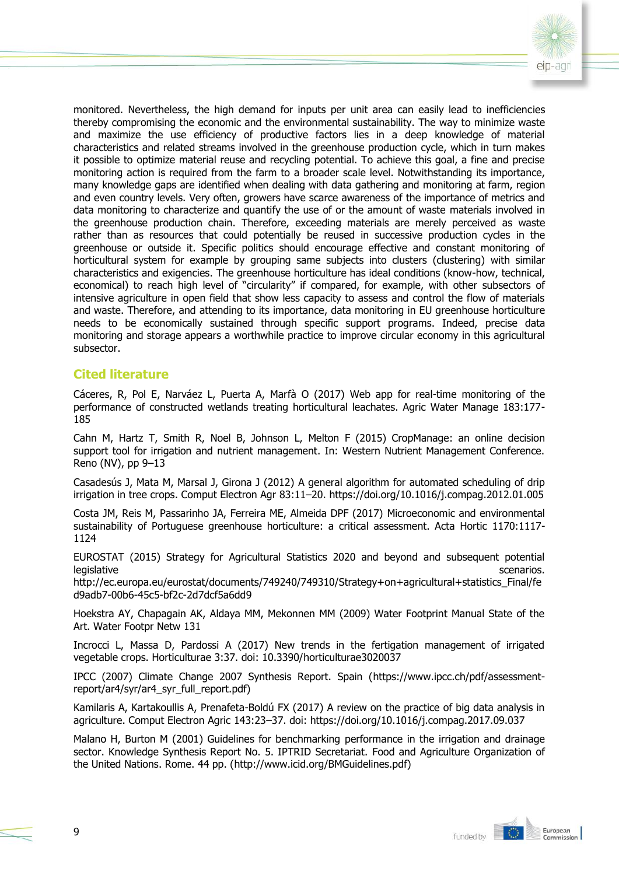

monitored. Nevertheless, the high demand for inputs per unit area can easily lead to inefficiencies thereby compromising the economic and the environmental sustainability. The way to minimize waste and maximize the use efficiency of productive factors lies in a deep knowledge of material characteristics and related streams involved in the greenhouse production cycle, which in turn makes it possible to optimize material reuse and recycling potential. To achieve this goal, a fine and precise monitoring action is required from the farm to a broader scale level. Notwithstanding its importance, many knowledge gaps are identified when dealing with data gathering and monitoring at farm, region and even country levels. Very often, growers have scarce awareness of the importance of metrics and data monitoring to characterize and quantify the use of or the amount of waste materials involved in the greenhouse production chain. Therefore, exceeding materials are merely perceived as waste rather than as resources that could potentially be reused in successive production cycles in the greenhouse or outside it. Specific politics should encourage effective and constant monitoring of horticultural system for example by grouping same subjects into clusters (clustering) with similar characteristics and exigencies. The greenhouse horticulture has ideal conditions (know-how, technical, economical) to reach high level of "circularity" if compared, for example, with other subsectors of intensive agriculture in open field that show less capacity to assess and control the flow of materials and waste. Therefore, and attending to its importance, data monitoring in EU greenhouse horticulture needs to be economically sustained through specific support programs. Indeed, precise data monitoring and storage appears a worthwhile practice to improve circular economy in this agricultural subsector.

# **Cited literature**

Cáceres, R, Pol E, Narváez L, Puerta A, Marfà O (2017) Web app for real-time monitoring of the performance of constructed wetlands treating horticultural leachates. Agric Water Manage 183:177- 185

Cahn M, Hartz T, Smith R, Noel B, Johnson L, Melton F (2015) CropManage: an online decision support tool for irrigation and nutrient management. In: Western Nutrient Management Conference. Reno (NV), pp 9–13

Casadesús J, Mata M, Marsal J, Girona J (2012) A general algorithm for automated scheduling of drip irrigation in tree crops. Comput Electron Agr 83:11–20. https://doi.org/10.1016/j.compag.2012.01.005

Costa JM, Reis M, Passarinho JA, Ferreira ME, Almeida DPF (2017) Microeconomic and environmental sustainability of Portuguese greenhouse horticulture: a critical assessment. Acta Hortic 1170:1117- 1124

EUROSTAT (2015) Strategy for Agricultural Statistics 2020 and beyond and subsequent potential legislative scenarios. The set of the set of the set of the set of the set of the set of the set of the set of the set of the set of the set of the set of the set of the set of the set of the set of the set of the set of t

http://ec.europa.eu/eurostat/documents/749240/749310/Strategy+on+agricultural+statistics\_Final/fe d9adb7-00b6-45c5-bf2c-2d7dcf5a6dd9

Hoekstra AY, Chapagain AK, Aldaya MM, Mekonnen MM (2009) Water Footprint Manual State of the Art. Water Footpr Netw 131

Incrocci L, Massa D, Pardossi A (2017) New trends in the fertigation management of irrigated vegetable crops. Horticulturae 3:37. doi: 10.3390/horticulturae3020037

IPCC (2007) Climate Change 2007 Synthesis Report. Spain (https://www.ipcc.ch/pdf/assessmentreport/ar4/syr/ar4\_syr\_full\_report.pdf)

Kamilaris A, Kartakoullis A, Prenafeta-Boldú FX (2017) A review on the practice of big data analysis in agriculture. Comput Electron Agric 143:23–37. doi: https://doi.org/10.1016/j.compag.2017.09.037

Malano H, Burton M (2001) Guidelines for benchmarking performance in the irrigation and drainage sector. Knowledge Synthesis Report No. 5. IPTRID Secretariat. Food and Agriculture Organization of the United Nations. Rome. 44 pp. (http://www.icid.org/BMGuidelines.pdf)

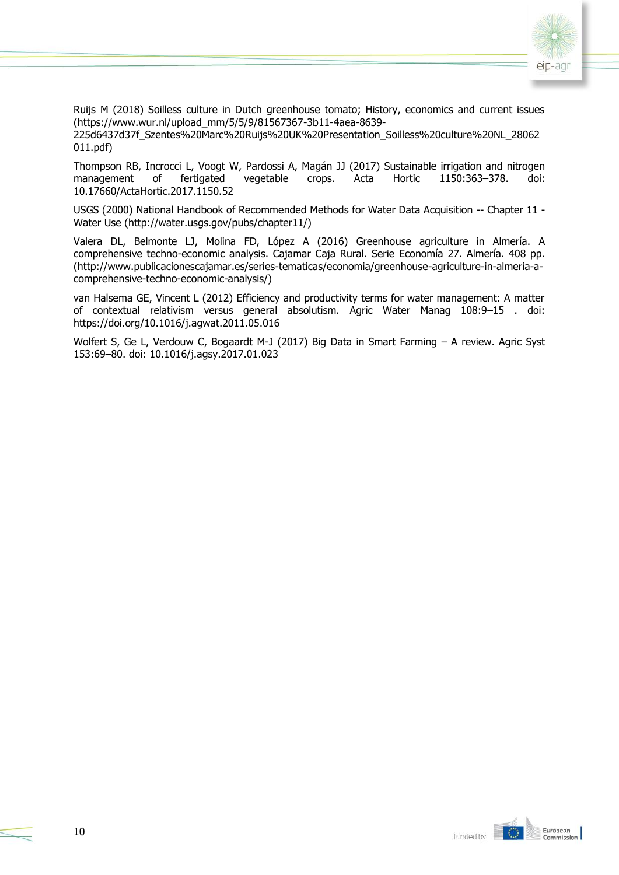

Ruijs M (2018) Soilless culture in Dutch greenhouse tomato; History, economics and current issues (https://www.wur.nl/upload\_mm/5/5/9/81567367-3b11-4aea-8639-

225d6437d37f\_Szentes%20Marc%20Ruijs%20UK%20Presentation\_Soilless%20culture%20NL\_28062 011.pdf)

Thompson RB, Incrocci L, Voogt W, Pardossi A, Magán JJ (2017) Sustainable irrigation and nitrogen management of fertigated vegetable crops. Acta Hortic 1150:363–378. doi: 10.17660/ActaHortic.2017.1150.52

USGS (2000) National Handbook of Recommended Methods for Water Data Acquisition -- Chapter 11 - Water Use (http://water.usgs.gov/pubs/chapter11/)

Valera DL, Belmonte LJ, Molina FD, López A (2016) Greenhouse agriculture in Almería. A comprehensive techno-economic analysis. Cajamar Caja Rural. Serie Economía 27. Almería. 408 pp. (http://www.publicacionescajamar.es/series-tematicas/economia/greenhouse-agriculture-in-almeria-acomprehensive-techno-economic-analysis/)

van Halsema GE, Vincent L (2012) Efficiency and productivity terms for water management: A matter of contextual relativism versus general absolutism. Agric Water Manag 108:9–15 . doi: https://doi.org/10.1016/j.agwat.2011.05.016

Wolfert S, Ge L, Verdouw C, Bogaardt M-J (2017) Big Data in Smart Farming – A review. Agric Syst 153:69–80. doi: 10.1016/j.agsy.2017.01.023

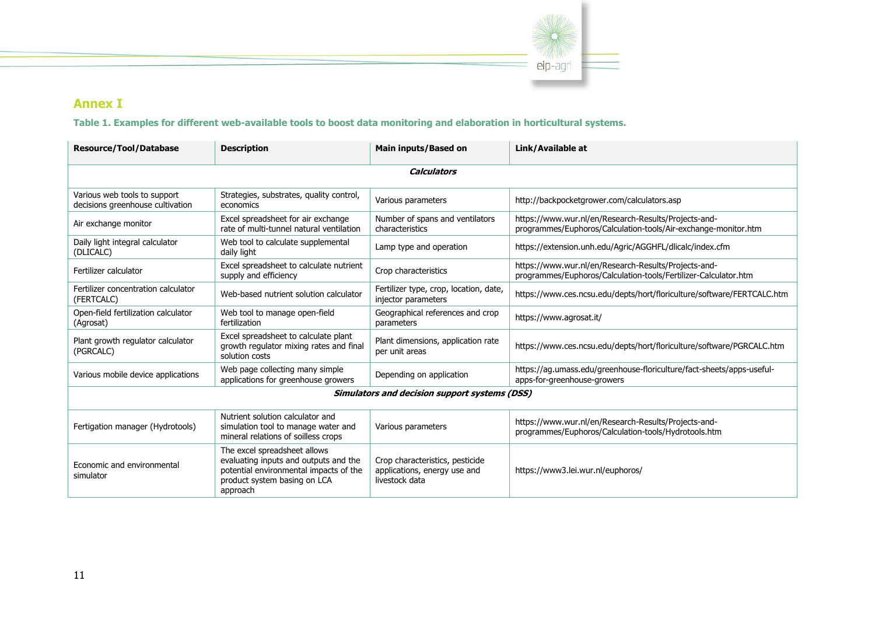

# **Annex I**

**Table 1. Examples for different web-available tools to boost data monitoring and elaboration in horticultural systems.**

| <b>Resource/Tool/Database</b>                                    | <b>Description</b>                                                                                                                                          | Main inputs/Based on                                                              | Link/Available at                                                                                                       |  |  |
|------------------------------------------------------------------|-------------------------------------------------------------------------------------------------------------------------------------------------------------|-----------------------------------------------------------------------------------|-------------------------------------------------------------------------------------------------------------------------|--|--|
| <b>Calculators</b>                                               |                                                                                                                                                             |                                                                                   |                                                                                                                         |  |  |
| Various web tools to support<br>decisions greenhouse cultivation | Strategies, substrates, quality control,<br>economics                                                                                                       | Various parameters                                                                | http://backpocketgrower.com/calculators.asp                                                                             |  |  |
| Air exchange monitor                                             | Excel spreadsheet for air exchange<br>rate of multi-tunnel natural ventilation                                                                              | Number of spans and ventilators<br>characteristics                                | https://www.wur.nl/en/Research-Results/Projects-and-<br>programmes/Euphoros/Calculation-tools/Air-exchange-monitor.htm  |  |  |
| Daily light integral calculator<br>(DLICALC)                     | Web tool to calculate supplemental<br>daily light                                                                                                           | Lamp type and operation                                                           | https://extension.unh.edu/Agric/AGGHFL/dlicalc/index.cfm                                                                |  |  |
| Fertilizer calculator                                            | Excel spreadsheet to calculate nutrient<br>supply and efficiency                                                                                            | Crop characteristics                                                              | https://www.wur.nl/en/Research-Results/Projects-and-<br>programmes/Euphoros/Calculation-tools/Fertilizer-Calculator.htm |  |  |
| Fertilizer concentration calculator<br>(FERTCALC)                | Web-based nutrient solution calculator                                                                                                                      | Fertilizer type, crop, location, date,<br>injector parameters                     | https://www.ces.ncsu.edu/depts/hort/floriculture/software/FERTCALC.htm                                                  |  |  |
| Open-field fertilization calculator<br>(Agrosat)                 | Web tool to manage open-field<br>fertilization                                                                                                              | Geographical references and crop<br>parameters                                    | https://www.agrosat.it/                                                                                                 |  |  |
| Plant growth regulator calculator<br>(PGRCALC)                   | Excel spreadsheet to calculate plant<br>growth regulator mixing rates and final<br>solution costs                                                           | Plant dimensions, application rate<br>per unit areas                              | https://www.ces.ncsu.edu/depts/hort/floriculture/software/PGRCALC.htm                                                   |  |  |
| Various mobile device applications                               | Web page collecting many simple<br>applications for greenhouse growers                                                                                      | Depending on application                                                          | https://ag.umass.edu/greenhouse-floriculture/fact-sheets/apps-useful-<br>apps-for-greenhouse-growers                    |  |  |
| <b>Simulators and decision support systems (DSS)</b>             |                                                                                                                                                             |                                                                                   |                                                                                                                         |  |  |
| Fertigation manager (Hydrotools)                                 | Nutrient solution calculator and<br>simulation tool to manage water and<br>mineral relations of soilless crops                                              | Various parameters                                                                | https://www.wur.nl/en/Research-Results/Projects-and-<br>programmes/Euphoros/Calculation-tools/Hydrotools.htm            |  |  |
| Economic and environmental<br>simulator                          | The excel spreadsheet allows<br>evaluating inputs and outputs and the<br>potential environmental impacts of the<br>product system basing on LCA<br>approach | Crop characteristics, pesticide<br>applications, energy use and<br>livestock data | https://www3.lei.wur.nl/euphoros/                                                                                       |  |  |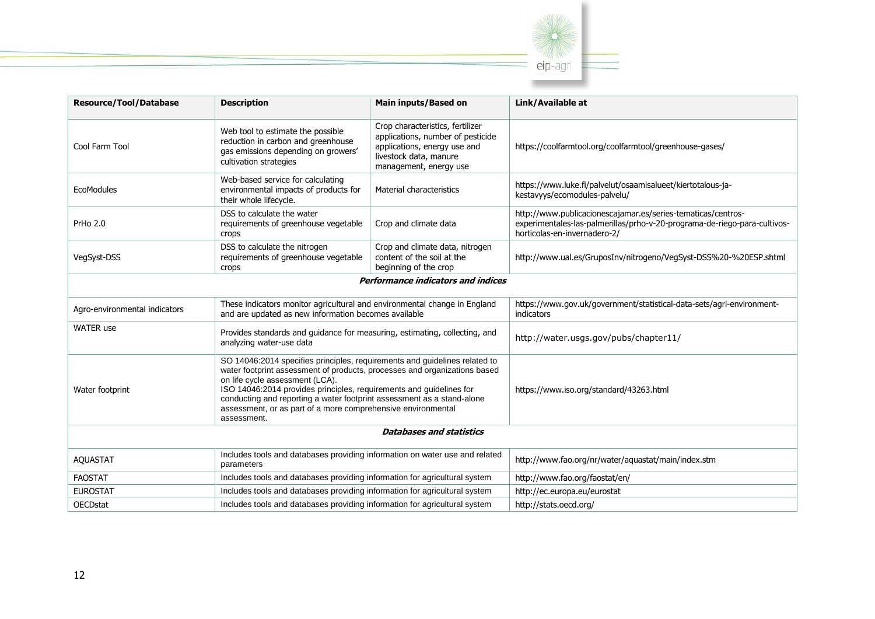

| <b>Resource/Tool/Database</b>             | <b>Description</b>                                                                                                                                                                                                                                                                                                                                                                                                         | <b>Main inputs/Based on</b>                                                                                                                               | Link/Available at                                                                                                                                                         |  |
|-------------------------------------------|----------------------------------------------------------------------------------------------------------------------------------------------------------------------------------------------------------------------------------------------------------------------------------------------------------------------------------------------------------------------------------------------------------------------------|-----------------------------------------------------------------------------------------------------------------------------------------------------------|---------------------------------------------------------------------------------------------------------------------------------------------------------------------------|--|
| Cool Farm Tool                            | Web tool to estimate the possible<br>reduction in carbon and greenhouse<br>gas emissions depending on growers'<br>cultivation strategies                                                                                                                                                                                                                                                                                   | Crop characteristics, fertilizer<br>applications, number of pesticide<br>applications, energy use and<br>livestock data, manure<br>management, energy use | https://coolfarmtool.org/coolfarmtool/greenhouse-gases/                                                                                                                   |  |
| EcoModules                                | Web-based service for calculating<br>environmental impacts of products for<br>their whole lifecycle.                                                                                                                                                                                                                                                                                                                       | Material characteristics                                                                                                                                  | https://www.luke.fi/palvelut/osaamisalueet/kiertotalous-ja-<br>kestavyys/ecomodules-palvelu/                                                                              |  |
| PrHo 2.0                                  | DSS to calculate the water<br>requirements of greenhouse vegetable<br><b>Crops</b>                                                                                                                                                                                                                                                                                                                                         | Crop and climate data                                                                                                                                     | http://www.publicacionescajamar.es/series-tematicas/centros-<br>experimentales-las-palmerillas/prho-v-20-programa-de-riego-para-cultivos-<br>horticolas-en-invernadero-2/ |  |
| VegSyst-DSS                               | DSS to calculate the nitrogen<br>requirements of greenhouse vegetable<br><b>Crops</b>                                                                                                                                                                                                                                                                                                                                      | Crop and climate data, nitrogen<br>content of the soil at the<br>beginning of the crop                                                                    | http://www.ual.es/GruposInv/nitrogeno/VegSyst-DSS%20-%20ESP.shtml                                                                                                         |  |
| <b>Performance indicators and indices</b> |                                                                                                                                                                                                                                                                                                                                                                                                                            |                                                                                                                                                           |                                                                                                                                                                           |  |
| Agro-environmental indicators             | These indicators monitor agricultural and environmental change in England<br>and are updated as new information becomes available                                                                                                                                                                                                                                                                                          |                                                                                                                                                           | https://www.gov.uk/government/statistical-data-sets/agri-environment-<br>indicators                                                                                       |  |
| <b>WATER</b> use                          | Provides standards and guidance for measuring, estimating, collecting, and<br>analyzing water-use data                                                                                                                                                                                                                                                                                                                     |                                                                                                                                                           | http://water.usgs.gov/pubs/chapter11/                                                                                                                                     |  |
| Water footprint                           | SO 14046:2014 specifies principles, requirements and guidelines related to<br>water footprint assessment of products, processes and organizations based<br>on life cycle assessment (LCA).<br>ISO 14046:2014 provides principles, requirements and guidelines for<br>conducting and reporting a water footprint assessment as a stand-alone<br>assessment, or as part of a more comprehensive environmental<br>assessment. |                                                                                                                                                           | https://www.iso.org/standard/43263.html                                                                                                                                   |  |
| <b>Databases and statistics</b>           |                                                                                                                                                                                                                                                                                                                                                                                                                            |                                                                                                                                                           |                                                                                                                                                                           |  |
| <b>AQUASTAT</b>                           | Includes tools and databases providing information on water use and related<br>parameters                                                                                                                                                                                                                                                                                                                                  |                                                                                                                                                           | http://www.fao.org/nr/water/aquastat/main/index.stm                                                                                                                       |  |
| <b>FAOSTAT</b>                            | Includes tools and databases providing information for agricultural system                                                                                                                                                                                                                                                                                                                                                 |                                                                                                                                                           | http://www.fao.org/faostat/en/                                                                                                                                            |  |
| <b>EUROSTAT</b>                           | Includes tools and databases providing information for agricultural system                                                                                                                                                                                                                                                                                                                                                 |                                                                                                                                                           | http://ec.europa.eu/eurostat                                                                                                                                              |  |
| <b>OECDstat</b>                           | Includes tools and databases providing information for agricultural system                                                                                                                                                                                                                                                                                                                                                 |                                                                                                                                                           | http://stats.oecd.org/                                                                                                                                                    |  |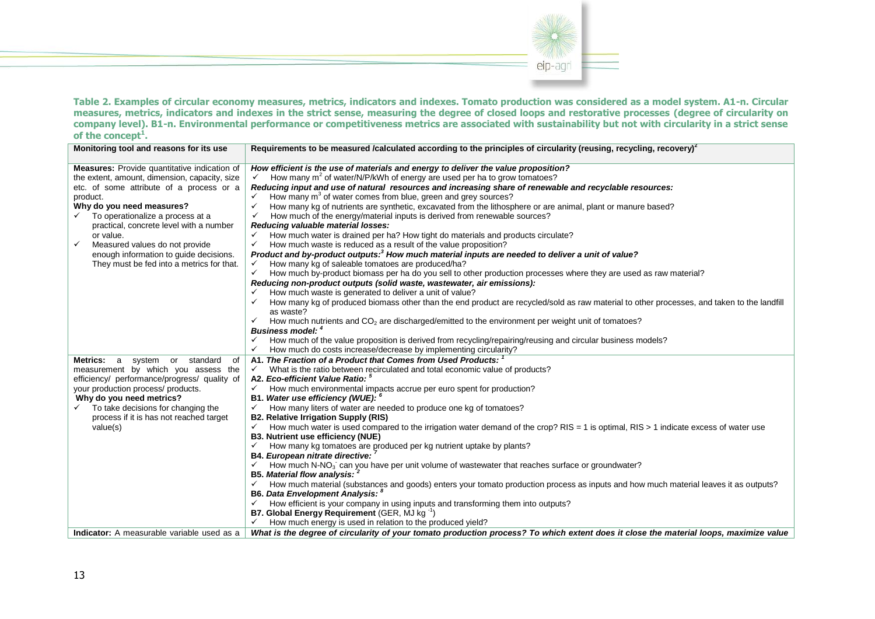

**Table 2. Examples of circular economy measures, metrics, indicators and indexes. Tomato production was considered as a model system. A1-n. Circular measures, metrics, indicators and indexes in the strict sense, measuring the degree of closed loops and restorative processes (degree of circularity on company level). B1-n. Environmental performance or competitiveness metrics are associated with sustainability but not with circularity in a strict sense of the concept<sup>1</sup> .**

| Monitoring tool and reasons for its use                       | Requirements to be measured /calculated according to the principles of circularity (reusing, recycling, recovery) <sup>2</sup>                       |
|---------------------------------------------------------------|------------------------------------------------------------------------------------------------------------------------------------------------------|
| <b>Measures:</b> Provide quantitative indication of           | How efficient is the use of materials and energy to deliver the value proposition?                                                                   |
| the extent, amount, dimension, capacity, size                 | How many m <sup>2</sup> of water/N/P/kWh of energy are used per ha to grow tomatoes?                                                                 |
| etc. of some attribute of a process or a                      | Reducing input and use of natural resources and increasing share of renewable and recyclable resources:                                              |
| product.                                                      | How many $m3$ of water comes from blue, green and grey sources?                                                                                      |
| Why do you need measures?                                     | $\checkmark$<br>How many kg of nutrients are synthetic, excavated from the lithosphere or are animal, plant or manure based?                         |
| To operationalize a process at a<br>$\checkmark$              | How much of the energy/material inputs is derived from renewable sources?<br>✓                                                                       |
| practical, concrete level with a number                       | Reducing valuable material losses:                                                                                                                   |
| or value.                                                     | How much water is drained per ha? How tight do materials and products circulate?<br>✓                                                                |
| Measured values do not provide<br>$\checkmark$                | How much waste is reduced as a result of the value proposition?<br>✓                                                                                 |
| enough information to guide decisions.                        | Product and by-product outputs: <sup>3</sup> How much material inputs are needed to deliver a unit of value?                                         |
| They must be fed into a metrics for that.                     | How many kg of saleable tomatoes are produced/ha?                                                                                                    |
|                                                               | How much by-product biomass per ha do you sell to other production processes where they are used as raw material?                                    |
|                                                               | Reducing non-product outputs (solid waste, wastewater, air emissions):                                                                               |
|                                                               | How much waste is generated to deliver a unit of value?                                                                                              |
|                                                               | How many kg of produced biomass other than the end product are recycled/sold as raw material to other processes, and taken to the landfill           |
|                                                               | as waste?                                                                                                                                            |
|                                                               | How much nutrients and $CO2$ are discharged/emitted to the environment per weight unit of tomatoes?                                                  |
|                                                               | <b>Business model:</b> 4                                                                                                                             |
|                                                               | How much of the value proposition is derived from recycling/repairing/reusing and circular business models?                                          |
|                                                               | How much do costs increase/decrease by implementing circularity?<br>✓                                                                                |
| system or standard<br><b>Metrics:</b><br>$\overline{a}$<br>0f | A1. The Fraction of a Product that Comes from Used Products:                                                                                         |
| measurement by which you assess the                           | What is the ratio between recirculated and total economic value of products?<br>$\checkmark$                                                         |
| efficiency/ performance/progress/ quality of                  | A2. Eco-efficient Value Ratio: 5                                                                                                                     |
| your production process/ products.                            | How much environmental impacts accrue per euro spent for production?                                                                                 |
| Why do you need metrics?                                      | B1. Water use efficiency (WUE): <sup>6</sup>                                                                                                         |
| To take decisions for changing the                            | How many liters of water are needed to produce one kg of tomatoes?<br>$\checkmark$                                                                   |
| process if it is has not reached target                       | <b>B2. Relative Irrigation Supply (RIS)</b>                                                                                                          |
| value(s)                                                      | How much water is used compared to the irrigation water demand of the crop? RIS = 1 is optimal, RIS > 1 indicate excess of water use<br>$\checkmark$ |
|                                                               | <b>B3. Nutrient use efficiency (NUE)</b>                                                                                                             |
|                                                               | How many kg tomatoes are produced per kg nutrient uptake by plants?                                                                                  |
|                                                               | B4. European nitrate directive:                                                                                                                      |
|                                                               | How much $N-NO_3$ can you have per unit volume of wastewater that reaches surface or groundwater?<br>$\checkmark$                                    |
|                                                               | <b>B5. Material flow analysis:</b>                                                                                                                   |
|                                                               | How much material (substances and goods) enters your tomato production process as inputs and how much material leaves it as outputs?                 |
|                                                               | <b>B6. Data Envelopment Analysis:</b>                                                                                                                |
|                                                               | How efficient is your company in using inputs and transforming them into outputs?                                                                    |
|                                                               | B7. Global Energy Requirement (GER, MJ kg <sup>-1</sup> )                                                                                            |
|                                                               | How much energy is used in relation to the produced yield?                                                                                           |
| Indicator: A measurable variable used as a                    | What is the degree of circularity of your tomato production process? To which extent does it close the material loops, maximize value                |